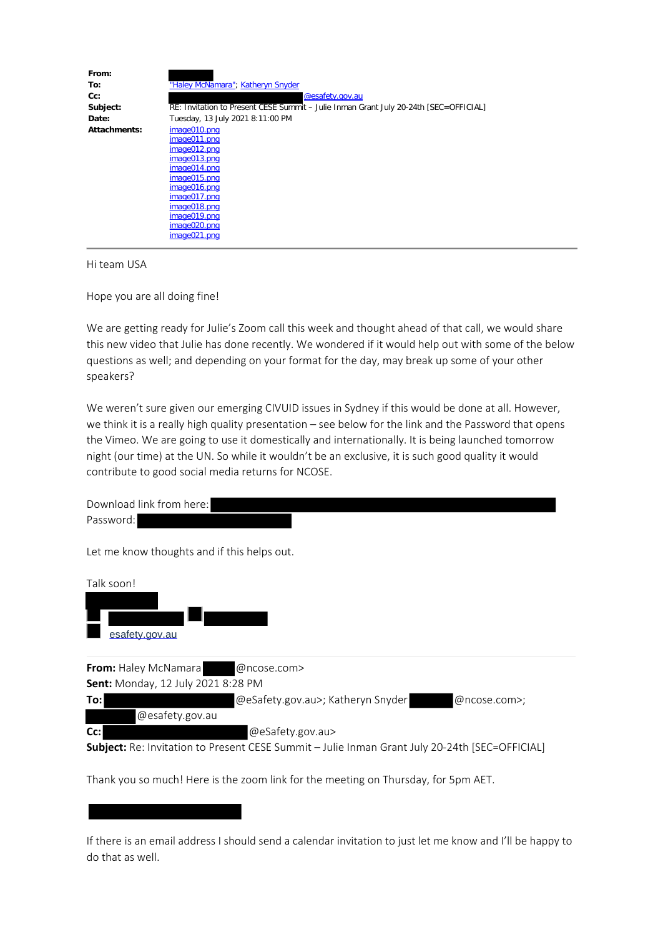| From:        |                                                                                       |  |
|--------------|---------------------------------------------------------------------------------------|--|
| To:          | "Haley McNamara"; Katheryn Snyder                                                     |  |
| $Cc$ :       | @esafety.gov.au                                                                       |  |
| Subject:     | RE: Invitation to Present CESE Summit - Julie Inman Grant July 20-24th [SEC=OFFICIAL] |  |
| Date:        | Tuesday, 13 July 2021 8:11:00 PM                                                      |  |
| Attachments: | image010.png                                                                          |  |
|              | image011.png                                                                          |  |
|              | image012.png                                                                          |  |
|              | image013.png                                                                          |  |
|              | image014.png                                                                          |  |
|              | image015.png                                                                          |  |
|              | image016.png                                                                          |  |
|              | image017.png                                                                          |  |
|              | image018.png                                                                          |  |
|              | image019.png                                                                          |  |
|              | image020.png                                                                          |  |
|              | image021.png                                                                          |  |

Hi team USA

Hope you are all doing fine!

We are getting ready for Julie's Zoom call this week and thought ahead of that call, we would share this new video that Julie has done recently. We wondered if it would help out with some of the below questions as well; and depending on your format for the day, may break up some of your other speakers?

We weren't sure given our emerging CIVUID issues in Sydney if this would be done at all. However, we think it is a really high quality presentation – see below for the link and the Password that opens the Vimeo. We are going to use it domestically and internationally. It is being launched tomorrow night (our time) at the UN. So while it wouldn't be an exclusive, it is such good quality it would contribute to good social media returns for NCOSE.

| Download link from here:                                                                       |  |  |  |
|------------------------------------------------------------------------------------------------|--|--|--|
| Password:                                                                                      |  |  |  |
| Let me know thoughts and if this helps out.                                                    |  |  |  |
| Talk soon!                                                                                     |  |  |  |
| esafety.gov.au                                                                                 |  |  |  |
| <b>From: Haley McNamara</b><br>@ncose.com>                                                     |  |  |  |
| Sent: Monday, 12 July 2021 8:28 PM                                                             |  |  |  |
| @eSafety.gov.au>; Katheryn Snyder<br>$@ncose.com$ ;<br>To:l                                    |  |  |  |
| @esafety.gov.au                                                                                |  |  |  |
| @eSafety.gov.au><br>$Cc$ :                                                                     |  |  |  |
| Subject: Re: Invitation to Present CESE Summit - Julie Inman Grant July 20-24th [SEC=OFFICIAL] |  |  |  |

Thank you so much! Here is the zoom link for the meeting on Thursday, for 5pm AET.

If there is an email address I should send a calendar invitation to just let me know and I'll be happy to do that as well.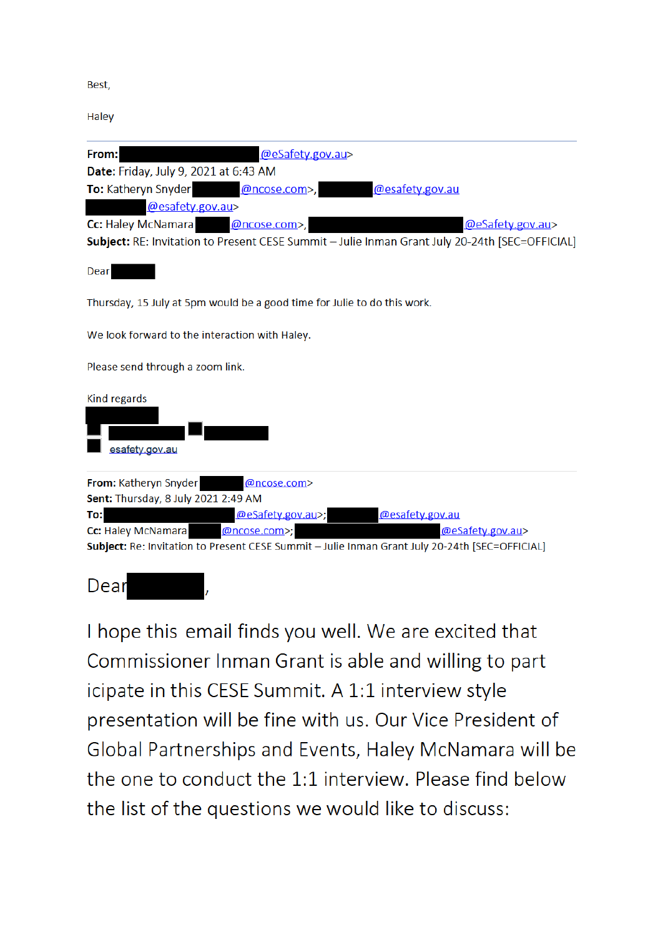Best.

Halev

 $\overline{\phantom{a}}$ 

| @eSafety.gov.au><br>From:                                                                      |
|------------------------------------------------------------------------------------------------|
| Date: Friday, July 9, 2021 at 6:43 AM                                                          |
| To: Katheryn Snyder<br>@ncose.com>,<br>@esafety.gov.au                                         |
| @esafety.gov.au>                                                                               |
| Cc: Haley McNamara<br>@ncose.com>,<br>@eSafety.gov.au>                                         |
| Subject: RE: Invitation to Present CESE Summit - Julie Inman Grant July 20-24th [SEC=OFFICIAL] |
| Dear                                                                                           |
|                                                                                                |
| Thursday, 15 July at 5pm would be a good time for Julie to do this work.                       |
| We look forward to the interaction with Haley.                                                 |
|                                                                                                |
| Please send through a zoom link.                                                               |
| Kind regards                                                                                   |
|                                                                                                |
|                                                                                                |
| esafety.gov.au                                                                                 |
|                                                                                                |
| From: Katheryn Snyder<br>@ncose.com>                                                           |
| Sent: Thursday, 8 July 2021 2:49 AM                                                            |
| @eSafety.gov.au>;<br>@esafety.gov.au<br>To:                                                    |
| Cc: Haley McNamara<br>@ncose.com>;<br>@eSafety.gov.au>                                         |
| Subject: Re: Invitation to Present CESE Summit - Julie Inman Grant July 20-24th [SEC=OFFICIAL] |
|                                                                                                |
| ear                                                                                            |

I hope this email finds you well. We are excited that Commissioner Inman Grant is able and willing to part icipate in this CESE Summit. A 1:1 interview style presentation will be fine with us. Our Vice President of Global Partnerships and Events, Haley McNamara will be the one to conduct the 1:1 interview. Please find below the list of the questions we would like to discuss: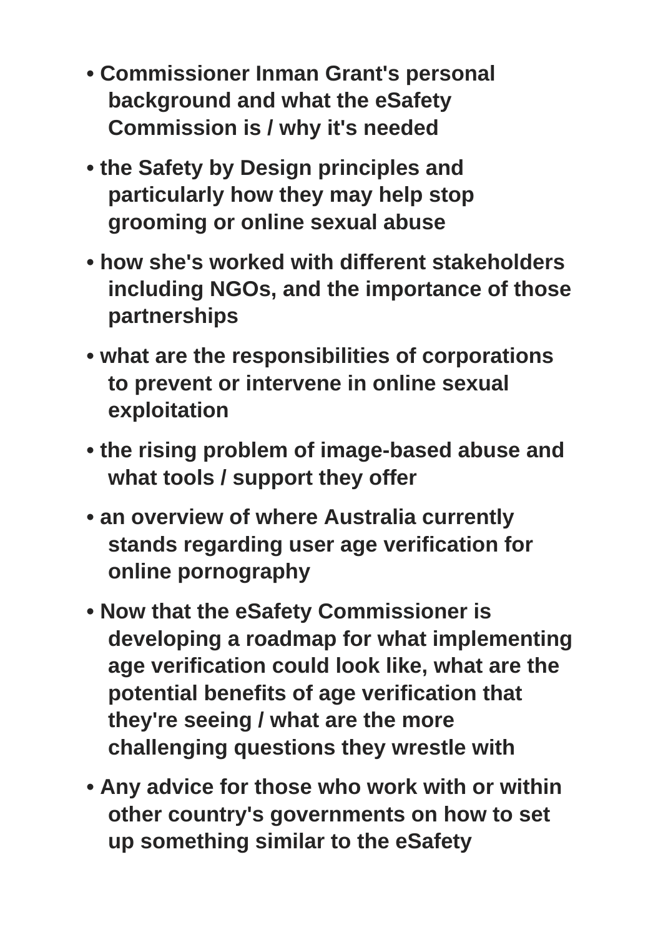- **• Commissioner Inman Grant's personal background and what the eSafety Commission is / why it's needed**
- **the Safety by Design principles and particularly how they may help stop grooming or online sexual abuse**
- **how she's worked with different stakeholders including NGOs, and the importance of those partnerships**
- **what are the responsibilities of corporations to prevent or intervene in online sexual exploitation**
- **the rising problem of image-based abuse and what tools / support they offer**
- **an overview of where Australia currently stands regarding user age verification for online pornography**
- **Now that the eSafety Commissioner is developing a roadmap for what implementing age verification could look like, what are the potential benefits of age verification that they're seeing / what are the more challenging questions they wrestle with**
- **Any advice for those who work with or within other country's governments on how to set up something similar to the eSafety**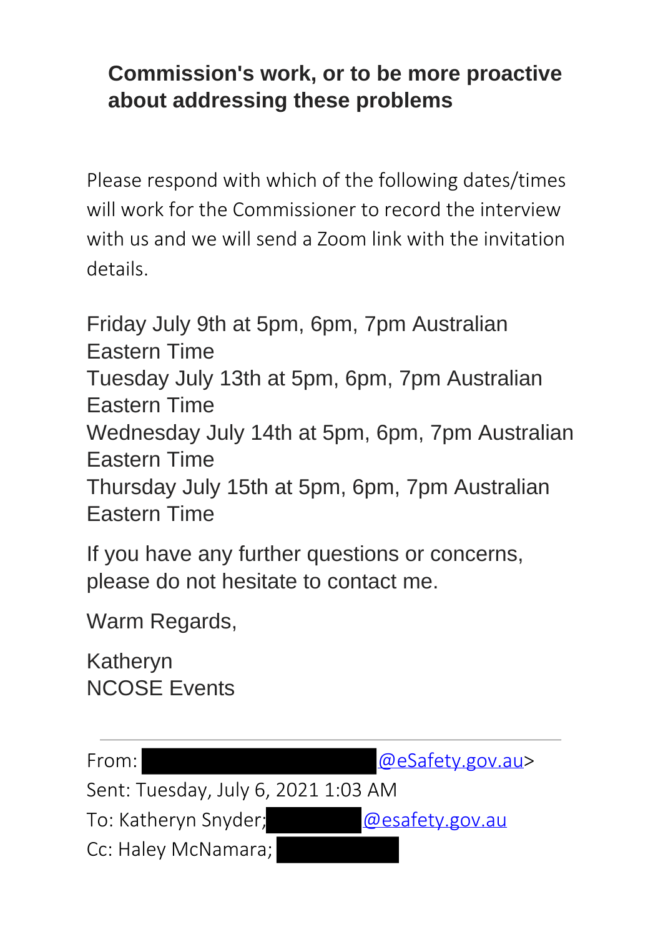# **Commission's work, or to be more proactive about addressing these problems**

Please respond with which of the following dates/times will work for the Commissioner to record the interview with us and we will send a Zoom link with the invitation details.

Friday July 9th at 5pm, 6pm, 7pm Australian Eastern Time Tuesday July 13th at 5pm, 6pm, 7pm Australian Eastern Time Wednesday July 14th at 5pm, 6pm, 7pm Australian Eastern Time Thursday July 15th at 5pm, 6pm, 7pm Australian Eastern Time

If you have any further questions or concerns, please do not hesitate to contact me.

Warm Regards,

Katheryn NCOSE Events

| From: I                             | @eSafety.gov.au> |  |  |  |
|-------------------------------------|------------------|--|--|--|
| Sent: Tuesday, July 6, 2021 1:03 AM |                  |  |  |  |
| To: Katheryn Snyder;                | @esafety.gov.au  |  |  |  |
| Cc: Haley McNamara;                 |                  |  |  |  |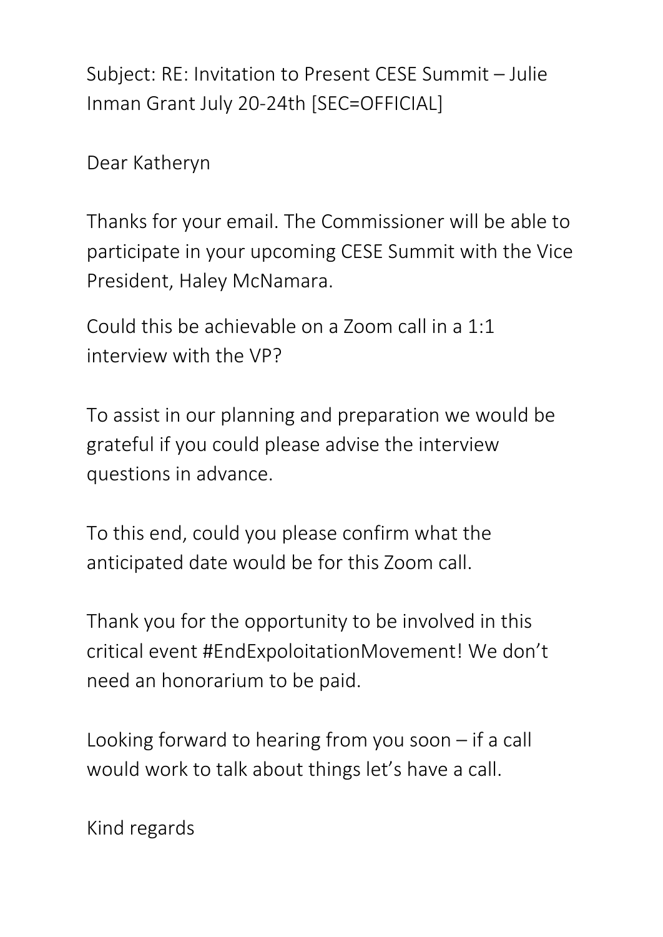Subject: RE: Invitation to Present CESE Summit – Julie Inman Grant July 20-24th [SEC=OFFICIAL]

Dear Katheryn

Thanks for your email. The Commissioner will be able to participate in your upcoming CESE Summit with the Vice President, Haley McNamara.

Could this be achievable on a Zoom call in a 1:1 interview with the VP?

To assist in our planning and preparation we would be grateful if you could please advise the interview questions in advance.

To this end, could you please confirm what the anticipated date would be for this Zoom call.

Thank you for the opportunity to be involved in this critical event #EndExpoloitationMovement! We don't need an honorarium to be paid.

Looking forward to hearing from you soon – if a call would work to talk about things let's have a call.

Kind regards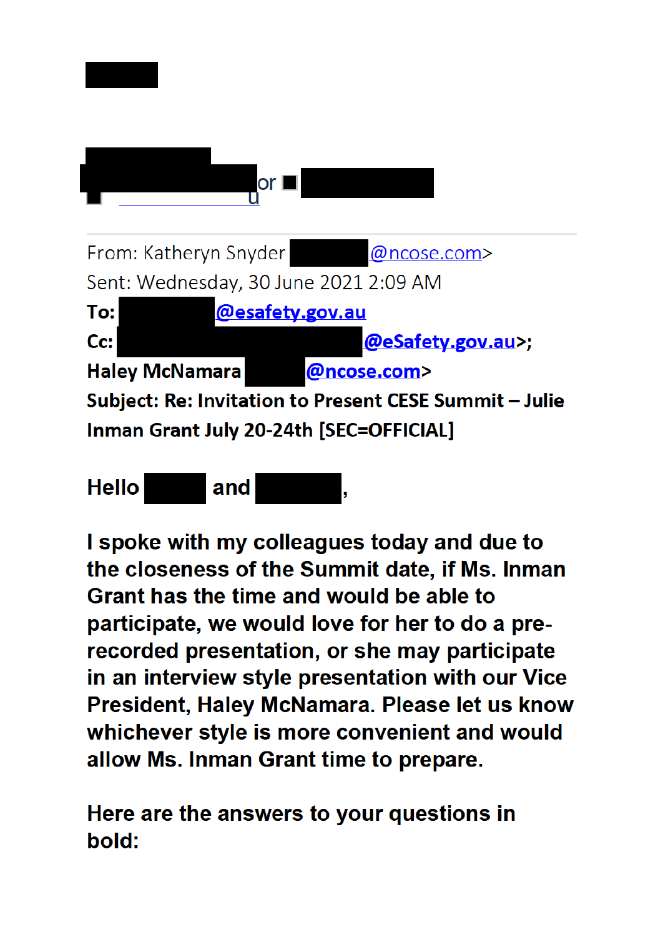



I spoke with my colleagues today and due to the closeness of the Summit date, if Ms. Inman Grant has the time and would be able to participate, we would love for her to do a prerecorded presentation, or she may participate in an interview style presentation with our Vice President, Haley McNamara. Please let us know whichever style is more convenient and would allow Ms. Inman Grant time to prepare.

Here are the answers to your questions in bold: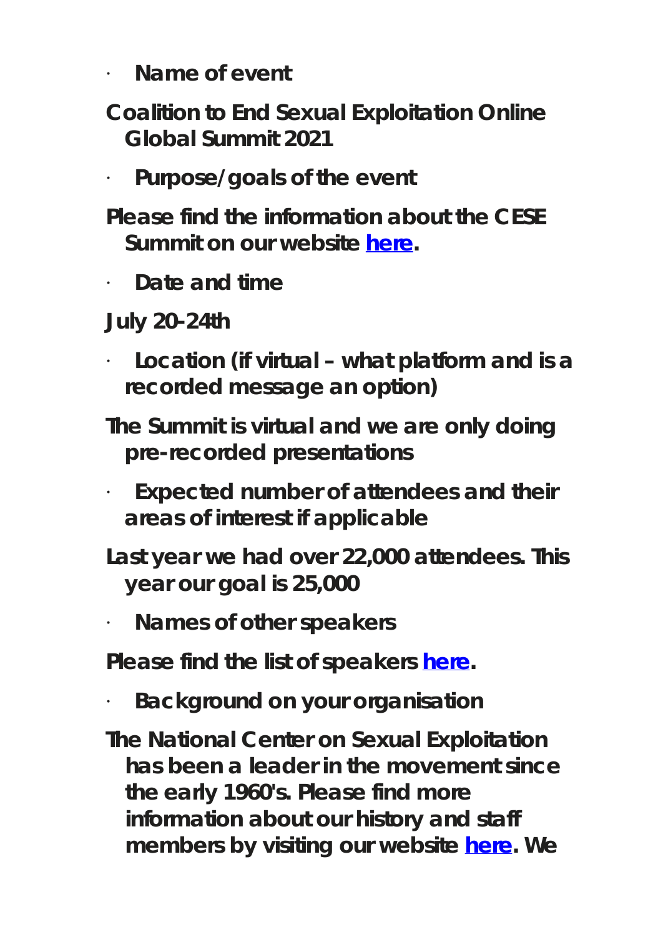- · **Name of event**
- **Coalition to End Sexual Exploitation Online Global Summit 2021**
- · **Purpose/goals of the event**
- **Please find the information about the CESE Summit on our website here.**
- · **Date and time**
- **July 20-24th**
- · **Location (if virtual what platform and is a recorded message an option)**
- **The Summit is virtual and we are only doing pre-recorded presentations**
	- · **Expected number of attendees and their areas of interest if applicable**
- **Last year we had over 22,000 attendees. This year our goal is 25,000**
- · **Names of other speakers**
- **Please find the list of speakers here.**
	- · **Background on your organisation**
- **The National Center on Sexual Exploitation has been a leader in the movement since the early 1960's. Please find more information about our history and staff members by visiting our website here. We**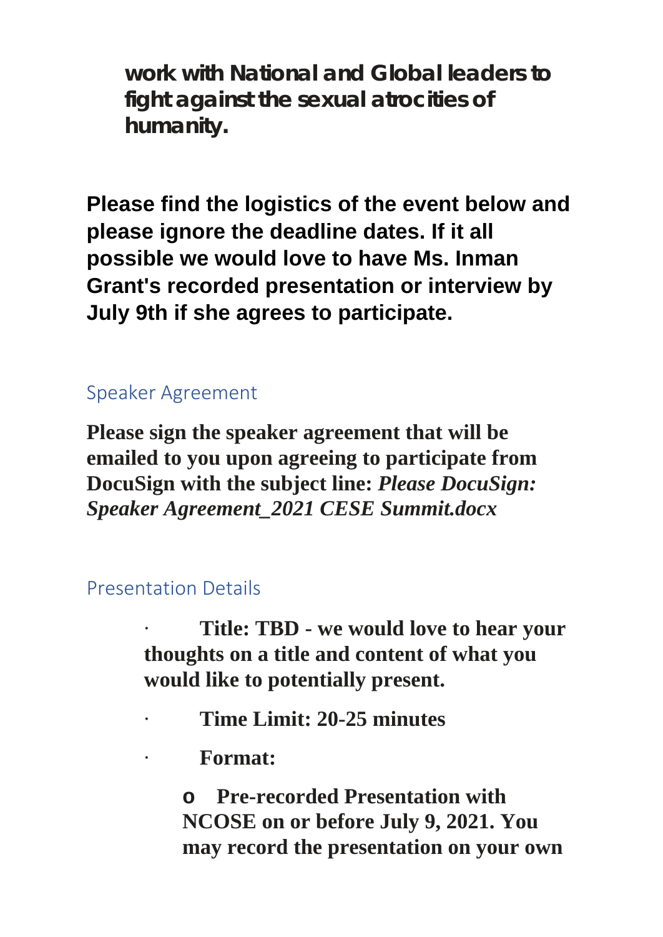**work with National and Global leaders to fight against the sexual atrocities of humanity.**

**Please find the logistics of the event below and please ignore the deadline dates. If it all possible we would love to have Ms. Inman Grant's recorded presentation or interview by July 9th if she agrees to participate.** 

### Speaker Agreement

**Please sign the speaker agreement that will be emailed to you upon agreeing to participate from DocuSign with the subject line:** *Please DocuSign: Speaker Agreement\_2021 CESE Summit.docx*

### Presentation Details

· **Title: TBD - we would love to hear your thoughts on a title and content of what you would like to potentially present.** 

- · **Time Limit: 20-25 minutes** 
	- · **Format:**

**o Pre-recorded Presentation with NCOSE on or before July 9, 2021. You may record the presentation on your own**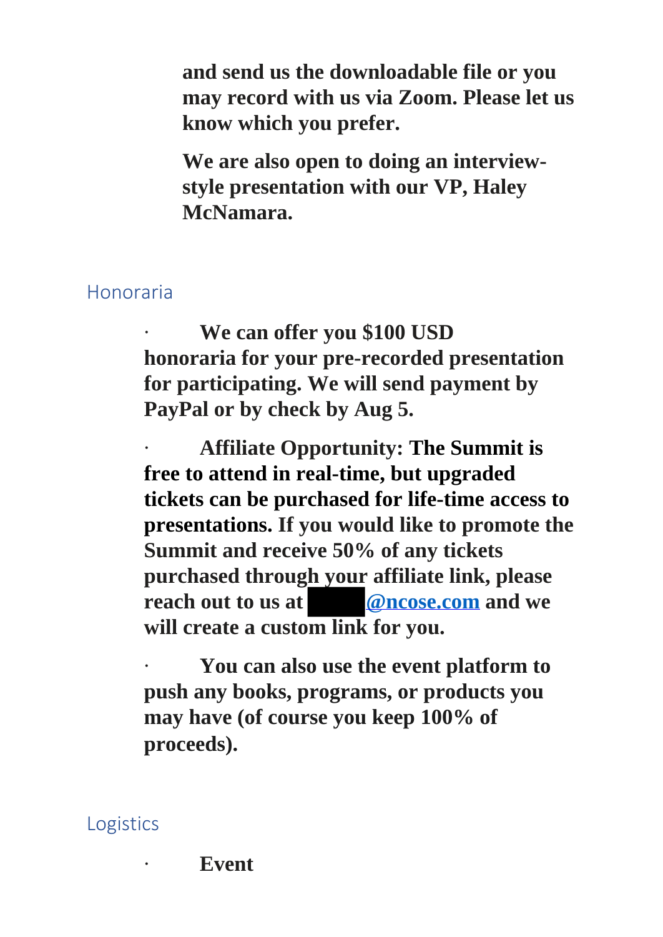**and send us the downloadable file or you may record with us via Zoom. Please let us know which you prefer.** 

**We are also open to doing an interviewstyle presentation with our VP, Haley McNamara.** 

### Honoraria

· **We can offer you \$100 USD honoraria for your pre-recorded presentation for participating. We will send payment by PayPal or by check by Aug 5.** 

· **Affiliate Opportunity: The Summit is free to attend in real-time, but upgraded tickets can be purchased for life-time access to presentations. If you would like to promote the Summit and receive 50% of any tickets purchased through your affiliate link, please reach out to us at @ncose.com and we will create a custom link for you.** 

· **You can also use the event platform to push any books, programs, or products you may have (of course you keep 100% of proceeds).**

**Logistics** 

## · **Event**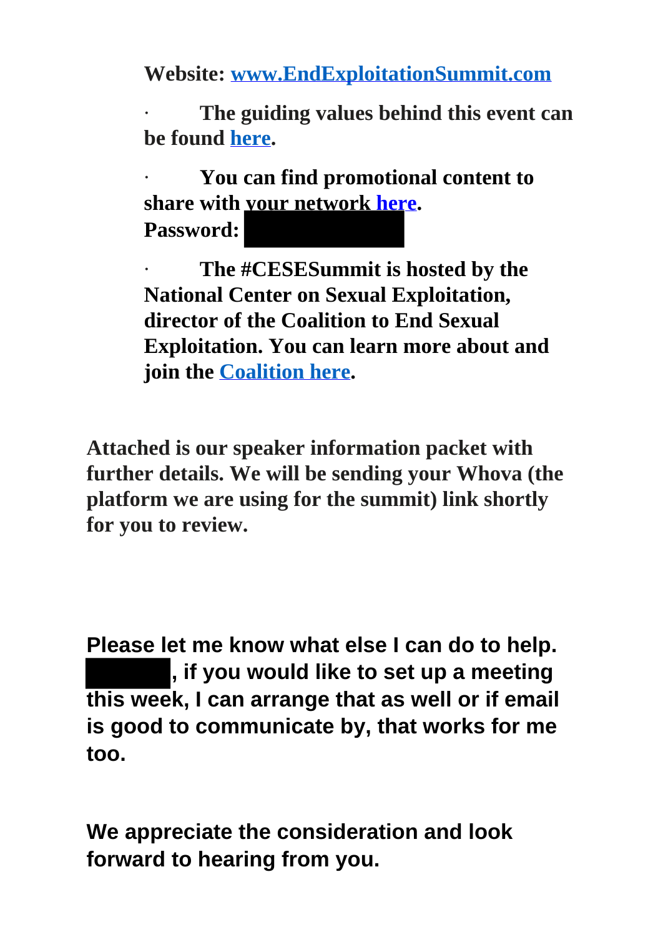**Website: www.EndExploitationSummit.com** 

· **The guiding values behind this event can be found here.** 

· **You can find promotional content to share with your network here. Password:** 

· **The #CESESummit is hosted by the National Center on Sexual Exploitation, director of the Coalition to End Sexual Exploitation. You can learn more about and join the Coalition here.** 

**Attached is our speaker information packet with further details. We will be sending your Whova (the platform we are using for the summit) link shortly for you to review.** 

**Please let me know what else I can do to help. , if you would like to set up a meeting this week, I can arrange that as well or if email is good to communicate by, that works for me too.**

**We appreciate the consideration and look forward to hearing from you.**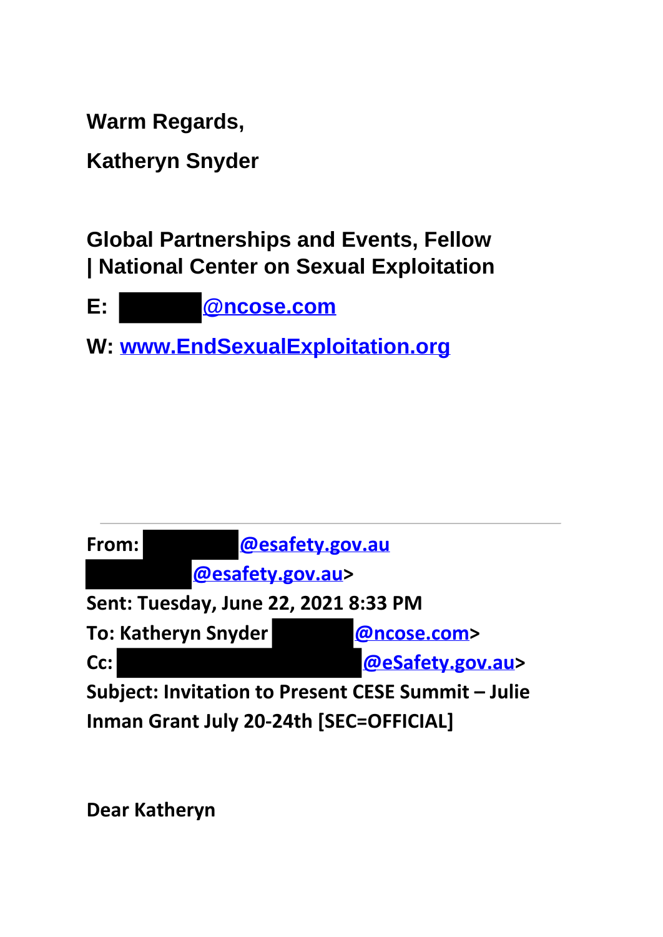**Warm Regards,**

**Katheryn Snyder**

## **Global Partnerships and Events, Fellow | National Center on Sexual Exploitation**

**E: @ncose.com**

**W: www.EndSexualExploitation.org**



**Dear Katheryn**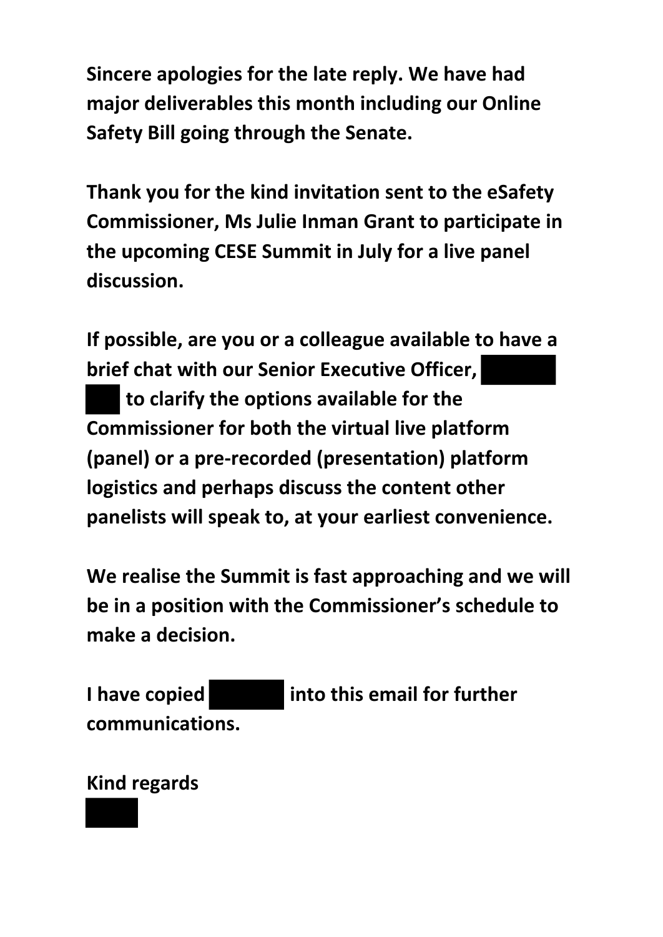**Sincere apologies for the late reply. We have had major deliverables this month including our Online Safety Bill going through the Senate.**

**Thank you for the kind invitation sent to the eSafety Commissioner, Ms Julie Inman Grant to participate in the upcoming CESE Summit in July for a live panel discussion.**

**If possible, are you or a colleague available to have a brief chat with our Senior Executive Officer, to clarify the options available for the Commissioner for both the virtual live platform (panel) or a pre-recorded (presentation) platform logistics and perhaps discuss the content other panelists will speak to, at your earliest convenience.**

**We realise the Summit is fast approaching and we will be in a position with the Commissioner's schedule to make a decision.**

**I have copied into this email for further communications.**

**Kind regards**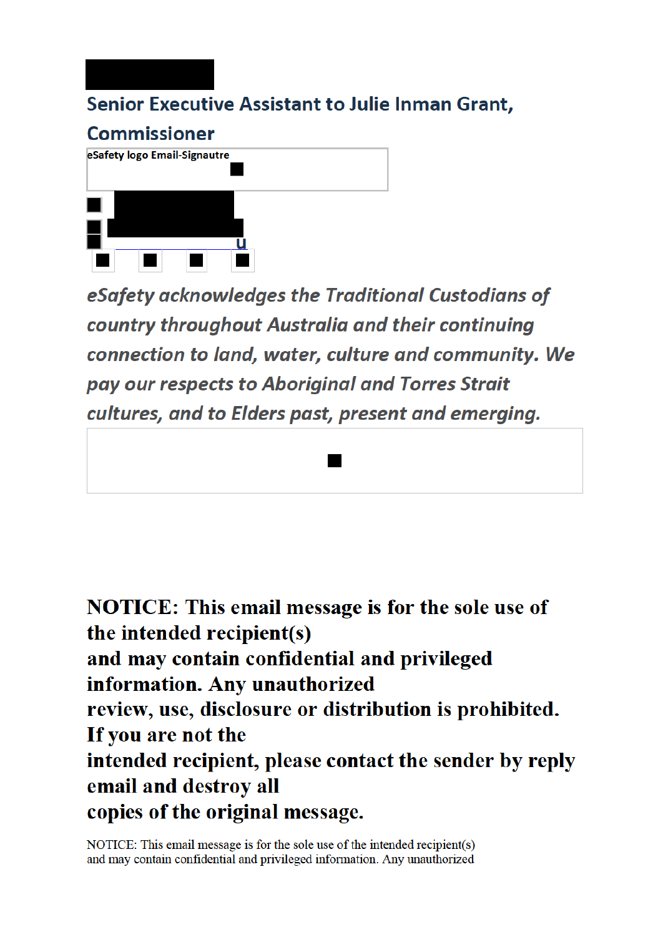## Senior Executive Assistant to Julie Inman Grant,

#### **Commissioner**



eSafety acknowledges the Traditional Custodians of country throughout Australia and their continuing connection to land, water, culture and community. We pay our respects to Aboriginal and Torres Strait cultures, and to Elders past, present and emerging.

**NOTICE:** This email message is for the sole use of the intended recipient(s) and may contain confidential and privileged information. Any unauthorized review, use, disclosure or distribution is prohibited. If you are not the intended recipient, please contact the sender by reply email and destroy all copies of the original message.

NOTICE: This email message is for the sole use of the intended recipient(s) and may contain confidential and privileged information. Any unauthorized